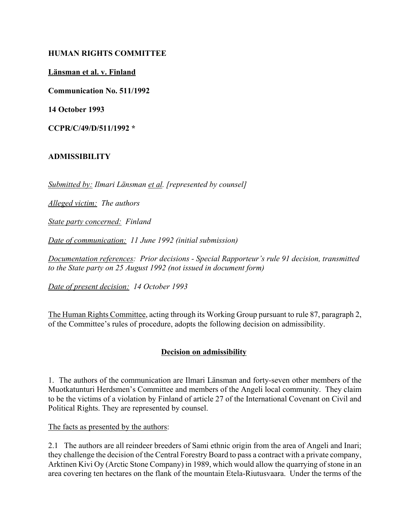#### **HUMAN RIGHTS COMMITTEE**

**L‰nsman et al. v. Finland**

**Communication No. 511/1992**

**14 October 1993**

**CCPR/C/49/D/511/1992 \***

### **ADMISSIBILITY**

*Submitted by: Ilmari L‰nsman et al. [represented by counsel]*

*Alleged victim: The authors*

*State party concerned: Finland*

*Date of communication: 11 June 1992 (initial submission)*

*Documentation references: Prior decisions - Special Rapporteur's rule 91 decision, transmitted to the State party on 25 August 1992 (not issued in document form)*

*Date of present decision: 14 October 1993*

The Human Rights Committee, acting through its Working Group pursuant to rule 87, paragraph 2, of the Committee's rules of procedure, adopts the following decision on admissibility.

### **Decision on admissibility**

1. The authors of the communication are Ilmari Länsman and forty-seven other members of the Muotkatunturi Herdsmen's Committee and members of the Angeli local community. They claim to be the victims of a violation by Finland of article 27 of the International Covenant on Civil and Political Rights. They are represented by counsel.

The facts as presented by the authors:

2.1 The authors are all reindeer breeders of Sami ethnic origin from the area of Angeli and Inari; they challenge the decision of the Central Forestry Board to pass a contract with a private company, Arktinen Kivi Oy (Arctic Stone Company) in 1989, which would allow the quarrying of stone in an area covering ten hectares on the flank of the mountain Etela-Riutusvaara. Under the terms of the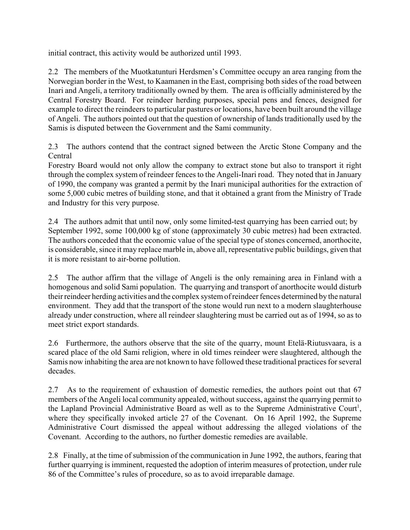initial contract, this activity would be authorized until 1993.

2.2 The members of the Muotkatunturi Herdsmen's Committee occupy an area ranging from the Norwegian border in the West, to Kaamanen in the East, comprising both sides of the road between Inari and Angeli, a territory traditionally owned by them. The area is officially administered by the Central Forestry Board. For reindeer herding purposes, special pens and fences, designed for example to direct the reindeers to particular pastures or locations, have been built around the village of Angeli. The authors pointed out that the question of ownership of lands traditionally used by the Samis is disputed between the Government and the Sami community.

2.3 The authors contend that the contract signed between the Arctic Stone Company and the Central

Forestry Board would not only allow the company to extract stone but also to transport it right through the complex system of reindeer fences to the Angeli-Inari road. They noted that in January of 1990, the company was granted a permit by the Inari municipal authorities for the extraction of some 5,000 cubic metres of building stone, and that it obtained a grant from the Ministry of Trade and Industry for this very purpose.

2.4 The authors admit that until now, only some limited-test quarrying has been carried out; by September 1992, some 100,000 kg of stone (approximately 30 cubic metres) had been extracted. The authors conceded that the economic value of the special type of stones concerned, anorthocite, is considerable, since it may replace marble in, above all, representative public buildings, given that it is more resistant to air-borne pollution.

2.5 The author affirm that the village of Angeli is the only remaining area in Finland with a homogenous and solid Sami population. The quarrying and transport of anorthocite would disturb their reindeer herding activities and the complex system of reindeer fences determined by the natural environment. They add that the transport of the stone would run next to a modern slaughterhouse already under construction, where all reindeer slaughtering must be carried out as of 1994, so as to meet strict export standards.

2.6 Furthermore, the authors observe that the site of the quarry, mount Etelä-Riutusvaara, is a scared place of the old Sami religion, where in old times reindeer were slaughtered, although the Samis now inhabiting the area are not known to have followed these traditional practices for several decades.

2.7 As to the requirement of exhaustion of domestic remedies, the authors point out that 67 members of the Angeli local community appealed, without success, against the quarrying permit to the Lapland Provincial Administrative Board as well as to the Supreme Administrative Court<sup>1</sup>, where they specifically invoked article 27 of the Covenant. On 16 April 1992, the Supreme Administrative Court dismissed the appeal without addressing the alleged violations of the Covenant. According to the authors, no further domestic remedies are available.

2.8 Finally, at the time of submission of the communication in June 1992, the authors, fearing that further quarrying is imminent, requested the adoption of interim measures of protection, under rule 86 of the Committee's rules of procedure, so as to avoid irreparable damage.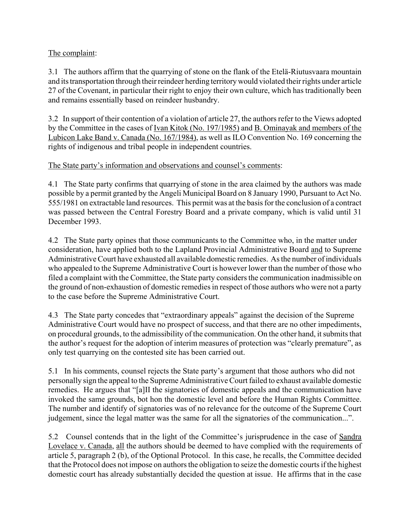# The complaint:

3.1 The authors affirm that the quarrying of stone on the flank of the Etelä-Riutusvaara mountain and its transportation through their reindeer herding territory would violated their rights under article 27 of the Covenant, in particular their right to enjoy their own culture, which has traditionally been and remains essentially based on reindeer husbandry.

3.2 In support of their contention of a violation of article 27, the authors refer to the Views adopted by the Committee in the cases of Ivan Kitok (No. 197/1985) and B. Ominayak and members of the Lubicon Lake Band v. Canada (No. 167/1984), as well as ILO Convention No. 169 concerning the rights of indigenous and tribal people in independent countries.

## The State party's information and observations and counsel's comments:

4.1 The State party confirms that quarrying of stone in the area claimed by the authors was made possible by a permit granted by the Angeli Municipal Board on 8 January 1990, Pursuant to Act No. 555/1981 on extractable land resources. This permit was at the basis for the conclusion of a contract was passed between the Central Forestry Board and a private company, which is valid until 31 December 1993.

4.2 The State party opines that those communicants to the Committee who, in the matter under consideration, have applied both to the Lapland Provincial Administrative Board and to Supreme Administrative Court have exhausted all available domestic remedies. As the number of individuals who appealed to the Supreme Administrative Court is however lower than the number of those who filed a complaint with the Committee, the State party considers the communication inadmissible on the ground of non-exhaustion of domestic remedies in respect of those authors who were not a party to the case before the Supreme Administrative Court.

4.3 The State party concedes that "extraordinary appeals" against the decision of the Supreme Administrative Court would have no prospect of success, and that there are no other impediments, on procedural grounds, to the admissibility of the communication. On the other hand, it submits that the author's request for the adoption of interim measures of protection was "clearly premature", as only test quarrying on the contested site has been carried out.

5.1 In his comments, counsel rejects the State party's argument that those authors who did not personally sign the appeal to the Supreme Administrative Court failed to exhaust available domestic remedies. He argues that "[a]II the signatories of domestic appeals and the communication have invoked the same grounds, bot hon the domestic level and before the Human Rights Committee. The number and identify of signatories was of no relevance for the outcome of the Supreme Court judgement, since the legal matter was the same for all the signatories of the communication...".

5.2 Counsel contends that in the light of the Committee's jurisprudence in the case of Sandra Lovelace v. Canada, all the authors should be deemed to have complied with the requirements of article 5, paragraph 2 (b), of the Optional Protocol. In this case, he recalls, the Committee decided that the Protocol does not impose on authors the obligation to seize the domestic courts if the highest domestic court has already substantially decided the question at issue. He affirms that in the case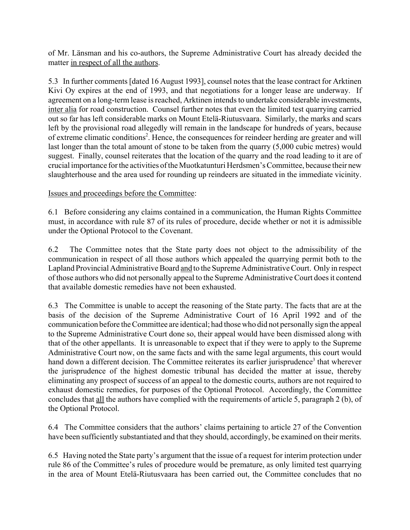of Mr. L‰nsman and his co-authors, the Supreme Administrative Court has already decided the matter in respect of all the authors.

5.3 In further comments [dated 16 August 1993], counsel notes that the lease contract for Arktinen Kivi Oy expires at the end of 1993, and that negotiations for a longer lease are underway. If agreement on a long-term lease is reached, Arktinen intends to undertake considerable investments, inter alia for road construction. Counsel further notes that even the limited test quarrying carried out so far has left considerable marks on Mount Etelä-Riutusvaara. Similarly, the marks and scars left by the provisional road allegedly will remain in the landscape for hundreds of years, because of extreme climatic conditions<sup>2</sup>. Hence, the consequences for reindeer herding are greater and will last longer than the total amount of stone to be taken from the quarry (5,000 cubic metres) would suggest. Finally, counsel reiterates that the location of the quarry and the road leading to it are of crucial importance for the activities of the Muotkatunturi Herdsmen's Committee, because their new slaughterhouse and the area used for rounding up reindeers are situated in the immediate vicinity.

### Issues and proceedings before the Committee:

6.1 Before considering any claims contained in a communication, the Human Rights Committee must, in accordance with rule 87 of its rules of procedure, decide whether or not it is admissible under the Optional Protocol to the Covenant.

6.2 The Committee notes that the State party does not object to the admissibility of the communication in respect of all those authors which appealed the quarrying permit both to the Lapland Provincial Administrative Board and to the Supreme Administrative Court. Only in respect of those authors who did not personally appeal to the Supreme Administrative Court does it contend that available domestic remedies have not been exhausted.

6.3 The Committee is unable to accept the reasoning of the State party. The facts that are at the basis of the decision of the Supreme Administrative Court of 16 April 1992 and of the communication before the Committee are identical; had those who did not personally sign the appeal to the Supreme Administrative Court done so, their appeal would have been dismissed along with that of the other appellants. It is unreasonable to expect that if they were to apply to the Supreme Administrative Court now, on the same facts and with the same legal arguments, this court would hand down a different decision. The Committee reiterates its earlier jurisprudence<sup>3</sup> that wherever the jurisprudence of the highest domestic tribunal has decided the matter at issue, thereby eliminating any prospect of success of an appeal to the domestic courts, authors are not required to exhaust domestic remedies, for purposes of the Optional Protocol. Accordingly, the Committee concludes that all the authors have complied with the requirements of article 5, paragraph 2 (b), of the Optional Protocol.

6.4 The Committee considers that the authors' claims pertaining to article 27 of the Convention have been sufficiently substantiated and that they should, accordingly, be examined on their merits.

6.5 Having noted the State party's argument that the issue of a request for interim protection under rule 86 of the Committee's rules of procedure would be premature, as only limited test quarrying in the area of Mount Etelä-Riutusvaara has been carried out, the Committee concludes that no